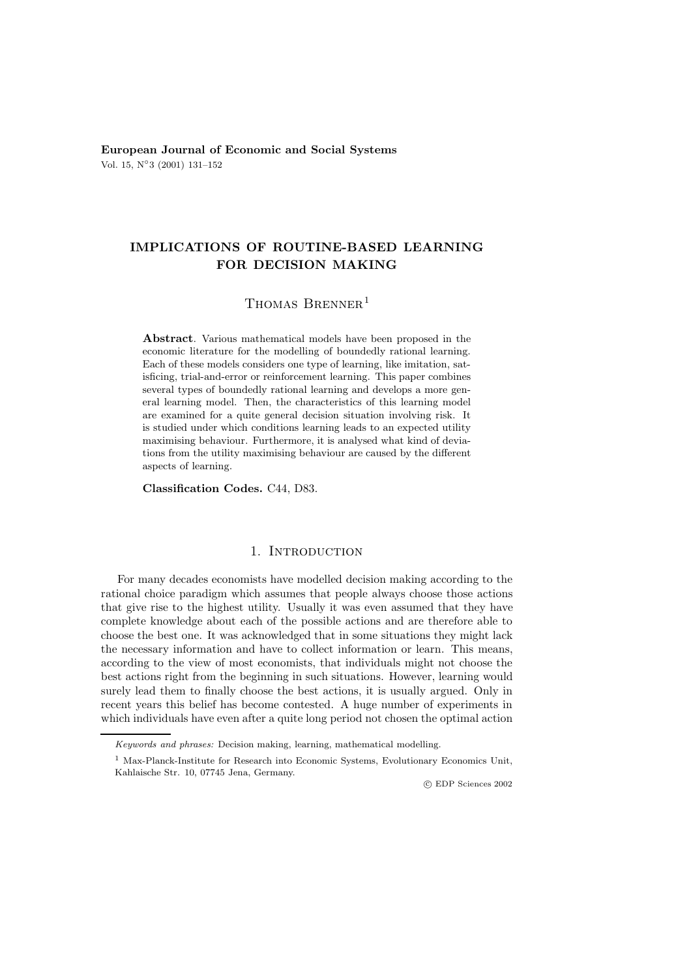**European Journal of Economic and Social Systems** Vol. 15, N◦3 (2001) 131–152

# **IMPLICATIONS OF ROUTINE-BASED LEARNING FOR DECISION MAKING**

## THOMAS BRENNER<sup>1</sup>

**Abstract**. Various mathematical models have been proposed in the economic literature for the modelling of boundedly rational learning. Each of these models considers one type of learning, like imitation, satisficing, trial-and-error or reinforcement learning. This paper combines several types of boundedly rational learning and develops a more general learning model. Then, the characteristics of this learning model are examined for a quite general decision situation involving risk. It is studied under which conditions learning leads to an expected utility maximising behaviour. Furthermore, it is analysed what kind of deviations from the utility maximising behaviour are caused by the different aspects of learning.

**Classification Codes.** C44, D83.

## 1. INTRODUCTION

For many decades economists have modelled decision making according to the rational choice paradigm which assumes that people always choose those actions that give rise to the highest utility. Usually it was even assumed that they have complete knowledge about each of the possible actions and are therefore able to choose the best one. It was acknowledged that in some situations they might lack the necessary information and have to collect information or learn. This means, according to the view of most economists, that individuals might not choose the best actions right from the beginning in such situations. However, learning would surely lead them to finally choose the best actions, it is usually argued. Only in recent years this belief has become contested. A huge number of experiments in which individuals have even after a quite long period not chosen the optimal action

c EDP Sciences 2002

Keywords and phrases: Decision making, learning, mathematical modelling.

<sup>&</sup>lt;sup>1</sup> Max-Planck-Institute for Research into Economic Systems, Evolutionary Economics Unit, Kahlaische Str. 10, 07745 Jena, Germany.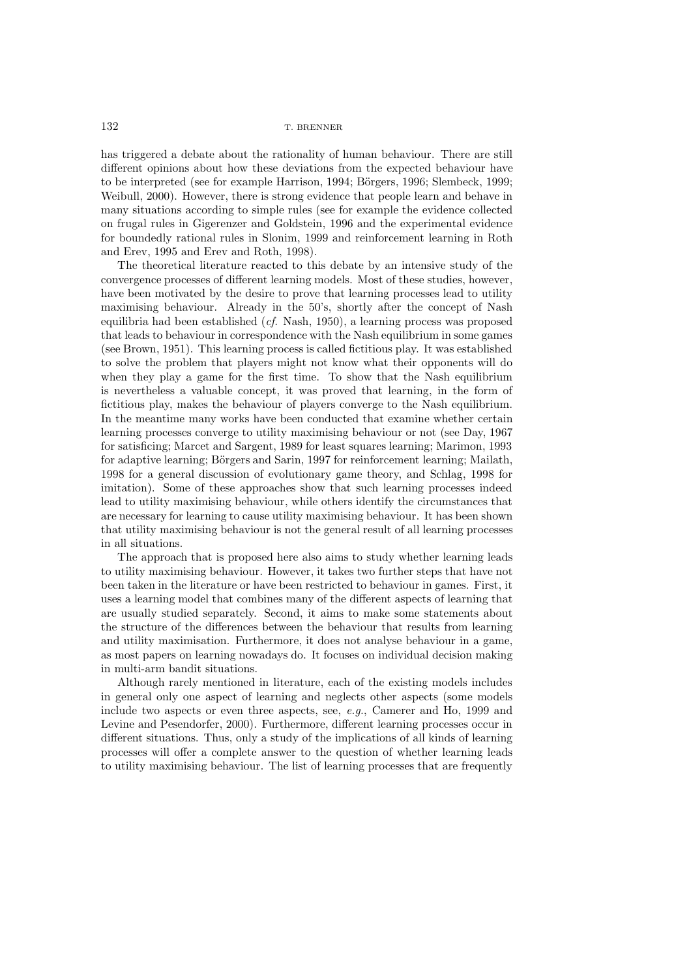has triggered a debate about the rationality of human behaviour. There are still different opinions about how these deviations from the expected behaviour have to be interpreted (see for example Harrison, 1994; Börgers, 1996; Slembeck, 1999; Weibull, 2000). However, there is strong evidence that people learn and behave in many situations according to simple rules (see for example the evidence collected on frugal rules in Gigerenzer and Goldstein, 1996 and the experimental evidence for boundedly rational rules in Slonim, 1999 and reinforcement learning in Roth and Erev, 1995 and Erev and Roth, 1998).

The theoretical literature reacted to this debate by an intensive study of the convergence processes of different learning models. Most of these studies, however, have been motivated by the desire to prove that learning processes lead to utility maximising behaviour. Already in the 50's, shortly after the concept of Nash equilibria had been established (*cf.* Nash, 1950), a learning process was proposed that leads to behaviour in correspondence with the Nash equilibrium in some games (see Brown, 1951). This learning process is called fictitious play. It was established to solve the problem that players might not know what their opponents will do when they play a game for the first time. To show that the Nash equilibrium is nevertheless a valuable concept, it was proved that learning, in the form of fictitious play, makes the behaviour of players converge to the Nash equilibrium. In the meantime many works have been conducted that examine whether certain learning processes converge to utility maximising behaviour or not (see Day, 1967 for satisficing; Marcet and Sargent, 1989 for least squares learning; Marimon, 1993 for adaptive learning; Börgers and Sarin, 1997 for reinforcement learning; Mailath, 1998 for a general discussion of evolutionary game theory, and Schlag, 1998 for imitation). Some of these approaches show that such learning processes indeed lead to utility maximising behaviour, while others identify the circumstances that are necessary for learning to cause utility maximising behaviour. It has been shown that utility maximising behaviour is not the general result of all learning processes in all situations.

The approach that is proposed here also aims to study whether learning leads to utility maximising behaviour. However, it takes two further steps that have not been taken in the literature or have been restricted to behaviour in games. First, it uses a learning model that combines many of the different aspects of learning that are usually studied separately. Second, it aims to make some statements about the structure of the differences between the behaviour that results from learning and utility maximisation. Furthermore, it does not analyse behaviour in a game, as most papers on learning nowadays do. It focuses on individual decision making in multi-arm bandit situations.

Although rarely mentioned in literature, each of the existing models includes in general only one aspect of learning and neglects other aspects (some models include two aspects or even three aspects, see, *e.g.*, Camerer and Ho, 1999 and Levine and Pesendorfer, 2000). Furthermore, different learning processes occur in different situations. Thus, only a study of the implications of all kinds of learning processes will offer a complete answer to the question of whether learning leads to utility maximising behaviour. The list of learning processes that are frequently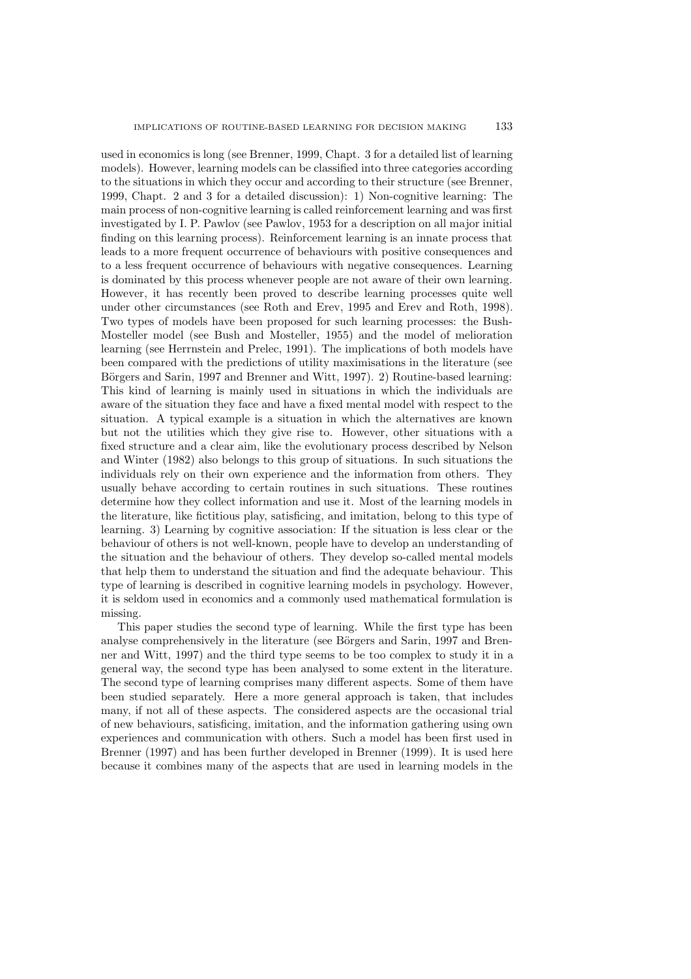used in economics is long (see Brenner, 1999, Chapt. 3 for a detailed list of learning models). However, learning models can be classified into three categories according to the situations in which they occur and according to their structure (see Brenner, 1999, Chapt. 2 and 3 for a detailed discussion): 1) Non-cognitive learning: The main process of non-cognitive learning is called reinforcement learning and was first investigated by I. P. Pawlov (see Pawlov, 1953 for a description on all major initial finding on this learning process). Reinforcement learning is an innate process that leads to a more frequent occurrence of behaviours with positive consequences and to a less frequent occurrence of behaviours with negative consequences. Learning is dominated by this process whenever people are not aware of their own learning. However, it has recently been proved to describe learning processes quite well under other circumstances (see Roth and Erev, 1995 and Erev and Roth, 1998). Two types of models have been proposed for such learning processes: the Bush-Mosteller model (see Bush and Mosteller, 1955) and the model of melioration learning (see Herrnstein and Prelec, 1991). The implications of both models have been compared with the predictions of utility maximisations in the literature (see Börgers and Sarin, 1997 and Brenner and Witt, 1997). 2) Routine-based learning: This kind of learning is mainly used in situations in which the individuals are aware of the situation they face and have a fixed mental model with respect to the situation. A typical example is a situation in which the alternatives are known but not the utilities which they give rise to. However, other situations with a fixed structure and a clear aim, like the evolutionary process described by Nelson and Winter (1982) also belongs to this group of situations. In such situations the individuals rely on their own experience and the information from others. They usually behave according to certain routines in such situations. These routines determine how they collect information and use it. Most of the learning models in the literature, like fictitious play, satisficing, and imitation, belong to this type of learning. 3) Learning by cognitive association: If the situation is less clear or the behaviour of others is not well-known, people have to develop an understanding of the situation and the behaviour of others. They develop so-called mental models that help them to understand the situation and find the adequate behaviour. This type of learning is described in cognitive learning models in psychology. However, it is seldom used in economics and a commonly used mathematical formulation is missing.

This paper studies the second type of learning. While the first type has been analyse comprehensively in the literature (see Börgers and Sarin, 1997 and Brenner and Witt, 1997) and the third type seems to be too complex to study it in a general way, the second type has been analysed to some extent in the literature. The second type of learning comprises many different aspects. Some of them have been studied separately. Here a more general approach is taken, that includes many, if not all of these aspects. The considered aspects are the occasional trial of new behaviours, satisficing, imitation, and the information gathering using own experiences and communication with others. Such a model has been first used in Brenner (1997) and has been further developed in Brenner (1999). It is used here because it combines many of the aspects that are used in learning models in the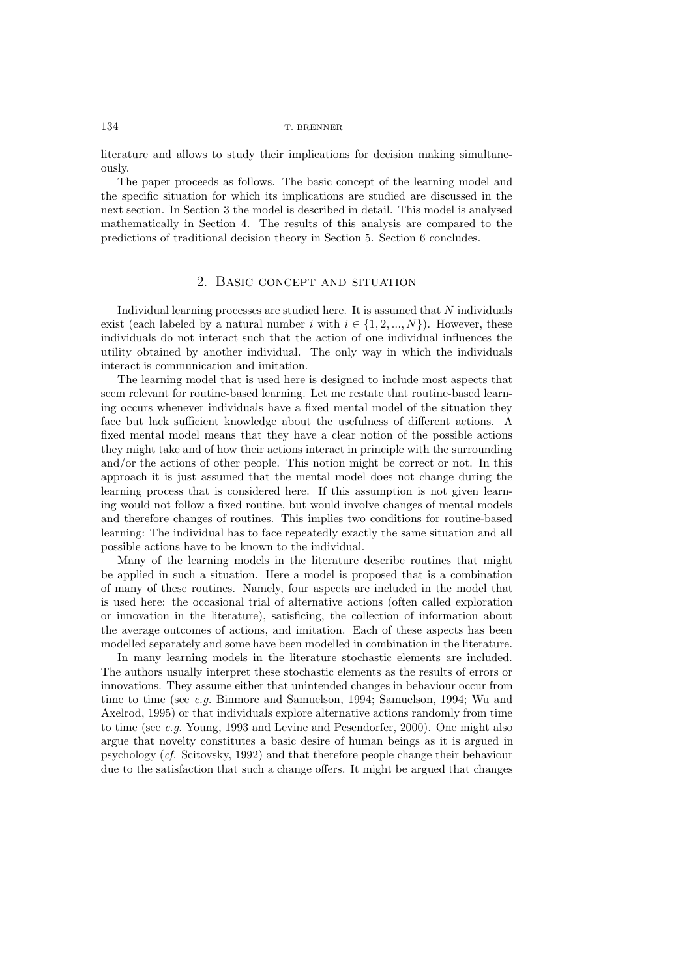literature and allows to study their implications for decision making simultaneously.

The paper proceeds as follows. The basic concept of the learning model and the specific situation for which its implications are studied are discussed in the next section. In Section 3 the model is described in detail. This model is analysed mathematically in Section 4. The results of this analysis are compared to the predictions of traditional decision theory in Section 5. Section 6 concludes.

### 2. Basic concept and situation

Individual learning processes are studied here. It is assumed that N individuals exist (each labeled by a natural number i with  $i \in \{1, 2, ..., N\}$ ). However, these individuals do not interact such that the action of one individual influences the utility obtained by another individual. The only way in which the individuals interact is communication and imitation.

The learning model that is used here is designed to include most aspects that seem relevant for routine-based learning. Let me restate that routine-based learning occurs whenever individuals have a fixed mental model of the situation they face but lack sufficient knowledge about the usefulness of different actions. A fixed mental model means that they have a clear notion of the possible actions they might take and of how their actions interact in principle with the surrounding and/or the actions of other people. This notion might be correct or not. In this approach it is just assumed that the mental model does not change during the learning process that is considered here. If this assumption is not given learning would not follow a fixed routine, but would involve changes of mental models and therefore changes of routines. This implies two conditions for routine-based learning: The individual has to face repeatedly exactly the same situation and all possible actions have to be known to the individual.

Many of the learning models in the literature describe routines that might be applied in such a situation. Here a model is proposed that is a combination of many of these routines. Namely, four aspects are included in the model that is used here: the occasional trial of alternative actions (often called exploration or innovation in the literature), satisficing, the collection of information about the average outcomes of actions, and imitation. Each of these aspects has been modelled separately and some have been modelled in combination in the literature.

In many learning models in the literature stochastic elements are included. The authors usually interpret these stochastic elements as the results of errors or innovations. They assume either that unintended changes in behaviour occur from time to time (see *e.g.* Binmore and Samuelson, 1994; Samuelson, 1994; Wu and Axelrod, 1995) or that individuals explore alternative actions randomly from time to time (see *e.g.* Young, 1993 and Levine and Pesendorfer, 2000). One might also argue that novelty constitutes a basic desire of human beings as it is argued in psychology (*cf.* Scitovsky, 1992) and that therefore people change their behaviour due to the satisfaction that such a change offers. It might be argued that changes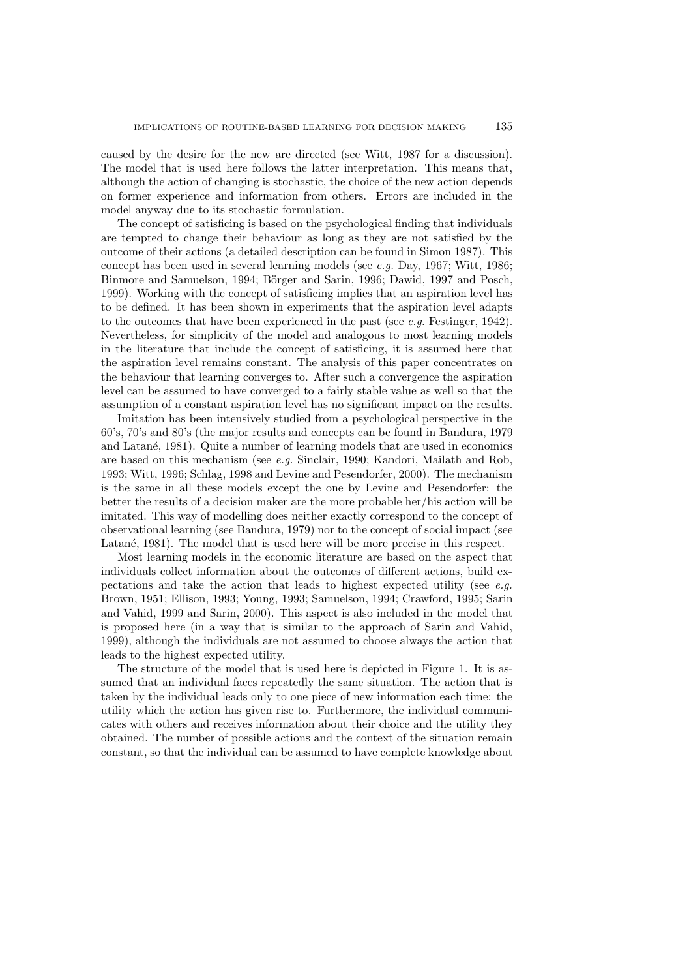caused by the desire for the new are directed (see Witt, 1987 for a discussion). The model that is used here follows the latter interpretation. This means that, although the action of changing is stochastic, the choice of the new action depends on former experience and information from others. Errors are included in the model anyway due to its stochastic formulation.

The concept of satisficing is based on the psychological finding that individuals are tempted to change their behaviour as long as they are not satisfied by the outcome of their actions (a detailed description can be found in Simon 1987). This concept has been used in several learning models (see *e.g.* Day, 1967; Witt, 1986; Binmore and Samuelson, 1994; Börger and Sarin, 1996; Dawid, 1997 and Posch, 1999). Working with the concept of satisficing implies that an aspiration level has to be defined. It has been shown in experiments that the aspiration level adapts to the outcomes that have been experienced in the past (see *e.g.* Festinger, 1942). Nevertheless, for simplicity of the model and analogous to most learning models in the literature that include the concept of satisficing, it is assumed here that the aspiration level remains constant. The analysis of this paper concentrates on the behaviour that learning converges to. After such a convergence the aspiration level can be assumed to have converged to a fairly stable value as well so that the assumption of a constant aspiration level has no significant impact on the results.

Imitation has been intensively studied from a psychological perspective in the 60's, 70's and 80's (the major results and concepts can be found in Bandura, 1979 and Latané, 1981). Quite a number of learning models that are used in economics are based on this mechanism (see *e.g.* Sinclair, 1990; Kandori, Mailath and Rob, 1993; Witt, 1996; Schlag, 1998 and Levine and Pesendorfer, 2000). The mechanism is the same in all these models except the one by Levine and Pesendorfer: the better the results of a decision maker are the more probable her/his action will be imitated. This way of modelling does neither exactly correspond to the concept of observational learning (see Bandura, 1979) nor to the concept of social impact (see Latané, 1981). The model that is used here will be more precise in this respect.

Most learning models in the economic literature are based on the aspect that individuals collect information about the outcomes of different actions, build expectations and take the action that leads to highest expected utility (see *e.g.* Brown, 1951; Ellison, 1993; Young, 1993; Samuelson, 1994; Crawford, 1995; Sarin and Vahid, 1999 and Sarin, 2000). This aspect is also included in the model that is proposed here (in a way that is similar to the approach of Sarin and Vahid, 1999), although the individuals are not assumed to choose always the action that leads to the highest expected utility.

The structure of the model that is used here is depicted in Figure 1. It is assumed that an individual faces repeatedly the same situation. The action that is taken by the individual leads only to one piece of new information each time: the utility which the action has given rise to. Furthermore, the individual communicates with others and receives information about their choice and the utility they obtained. The number of possible actions and the context of the situation remain constant, so that the individual can be assumed to have complete knowledge about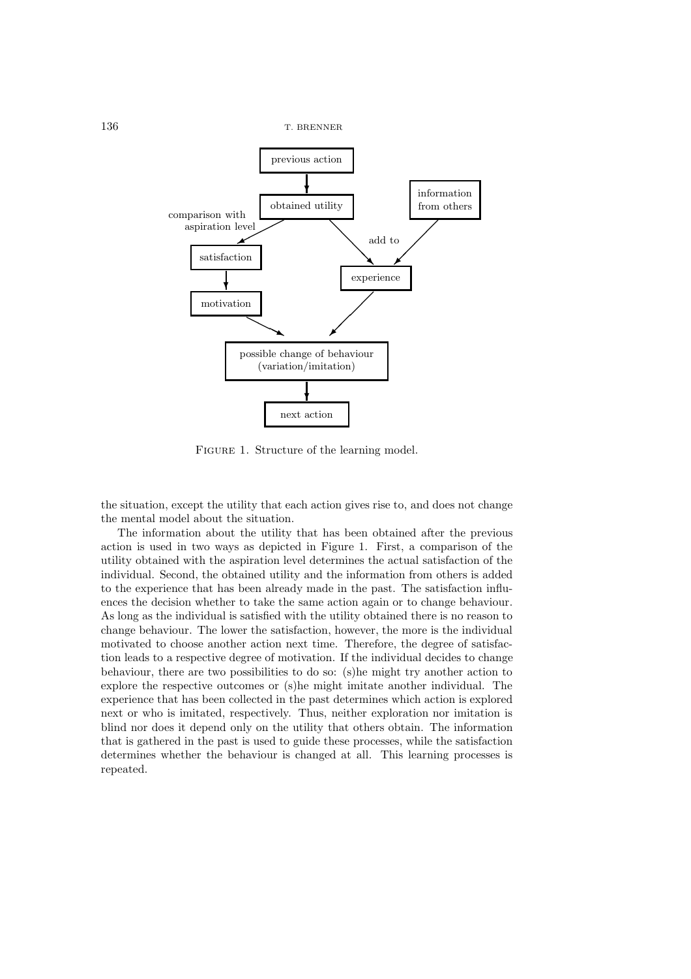

FIGURE 1. Structure of the learning model.

the situation, except the utility that each action gives rise to, and does not change the mental model about the situation.

The information about the utility that has been obtained after the previous action is used in two ways as depicted in Figure 1. First, a comparison of the utility obtained with the aspiration level determines the actual satisfaction of the individual. Second, the obtained utility and the information from others is added to the experience that has been already made in the past. The satisfaction influences the decision whether to take the same action again or to change behaviour. As long as the individual is satisfied with the utility obtained there is no reason to change behaviour. The lower the satisfaction, however, the more is the individual motivated to choose another action next time. Therefore, the degree of satisfaction leads to a respective degree of motivation. If the individual decides to change behaviour, there are two possibilities to do so: (s)he might try another action to explore the respective outcomes or (s)he might imitate another individual. The experience that has been collected in the past determines which action is explored next or who is imitated, respectively. Thus, neither exploration nor imitation is blind nor does it depend only on the utility that others obtain. The information that is gathered in the past is used to guide these processes, while the satisfaction determines whether the behaviour is changed at all. This learning processes is repeated.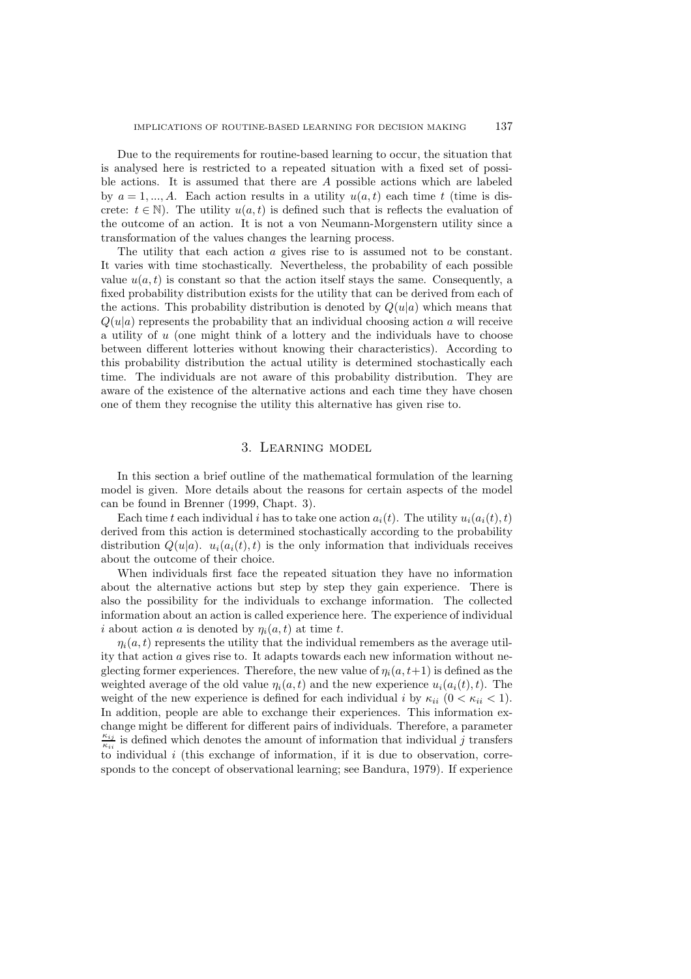Due to the requirements for routine-based learning to occur, the situation that is analysed here is restricted to a repeated situation with a fixed set of possible actions. It is assumed that there are A possible actions which are labeled by  $a = 1, ..., A$ . Each action results in a utility  $u(a, t)$  each time t (time is discrete:  $t \in \mathbb{N}$ ). The utility  $u(a, t)$  is defined such that is reflects the evaluation of the outcome of an action. It is not a von Neumann-Morgenstern utility since a transformation of the values changes the learning process.

The utility that each action a gives rise to is assumed not to be constant. It varies with time stochastically. Nevertheless, the probability of each possible value  $u(a, t)$  is constant so that the action itself stays the same. Consequently, a fixed probability distribution exists for the utility that can be derived from each of the actions. This probability distribution is denoted by  $Q(u|a)$  which means that  $Q(u|a)$  represents the probability that an individual choosing action a will receive a utility of u (one might think of a lottery and the individuals have to choose between different lotteries without knowing their characteristics). According to this probability distribution the actual utility is determined stochastically each time. The individuals are not aware of this probability distribution. They are aware of the existence of the alternative actions and each time they have chosen one of them they recognise the utility this alternative has given rise to.

## 3. Learning model

In this section a brief outline of the mathematical formulation of the learning model is given. More details about the reasons for certain aspects of the model can be found in Brenner (1999, Chapt. 3).

Each time t each individual i has to take one action  $a_i(t)$ . The utility  $u_i(a_i(t), t)$ derived from this action is determined stochastically according to the probability distribution  $Q(u|a)$ .  $u_i(a_i(t), t)$  is the only information that individuals receives about the outcome of their choice.

When individuals first face the repeated situation they have no information about the alternative actions but step by step they gain experience. There is also the possibility for the individuals to exchange information. The collected information about an action is called experience here. The experience of individual i about action a is denoted by  $\eta_i(a, t)$  at time t.

 $\eta_i(a, t)$  represents the utility that the individual remembers as the average utility that action a gives rise to. It adapts towards each new information without neglecting former experiences. Therefore, the new value of  $\eta_i(a, t+1)$  is defined as the weighted average of the old value  $\eta_i(a, t)$  and the new experience  $u_i(a_i(t), t)$ . The weight of the new experience is defined for each individual i by  $\kappa_{ii}$  ( $0 < \kappa_{ii} < 1$ ). In addition, people are able to exchange their experiences. This information exchange might be different for different pairs of individuals. Therefore, a parameter  $\frac{\kappa_{ij}}{\kappa_{ij}}$  is defined which denotes the amount of information that individual j transfers to individual  $i$  (this exchange of information, if it is due to observation, corresponds to the concept of observational learning; see Bandura, 1979). If experience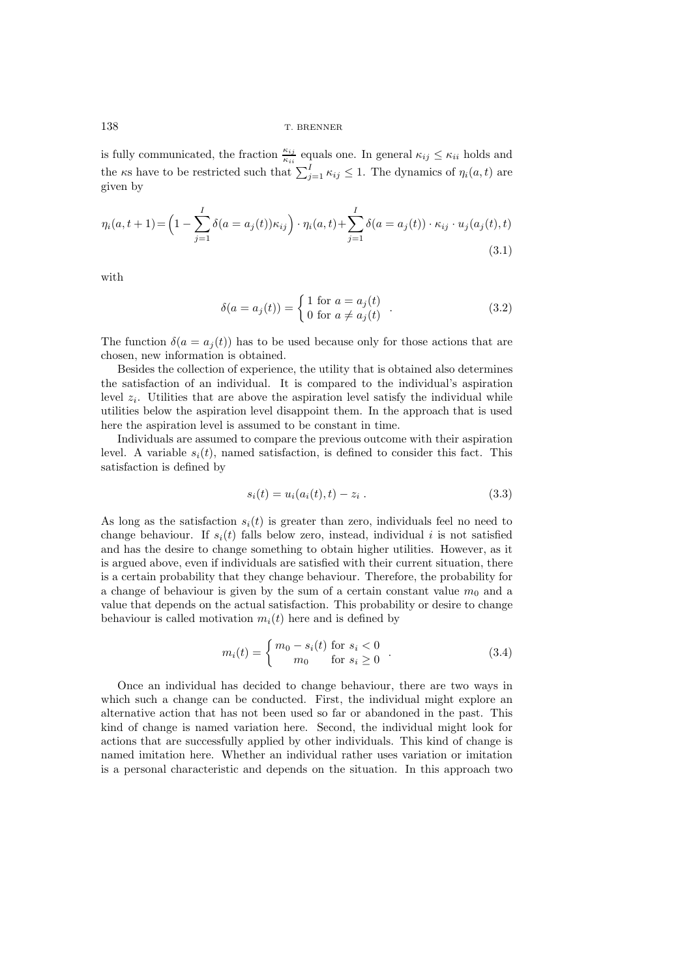is fully communicated, the fraction  $\frac{\kappa_{ij}}{\kappa_{ii}}$  equals one. In general  $\kappa_{ij} \leq \kappa_{ii}$  holds and the *κ*s have to be restricted such that  $\sum_{j=1}^{I} \kappa_{ij} \leq 1$ . The dynamics of  $\eta_i(a, t)$  are given by given by

$$
\eta_i(a, t+1) = \left(1 - \sum_{j=1}^I \delta(a = a_j(t))\kappa_{ij}\right) \cdot \eta_i(a, t) + \sum_{j=1}^I \delta(a = a_j(t)) \cdot \kappa_{ij} \cdot u_j(a_j(t), t)
$$
\n(3.1)

with

$$
\delta(a = a_j(t)) = \begin{cases} 1 \text{ for } a = a_j(t) \\ 0 \text{ for } a \neq a_j(t) \end{cases} .
$$
 (3.2)

The function  $\delta(a = a_i(t))$  has to be used because only for those actions that are chosen, new information is obtained.

Besides the collection of experience, the utility that is obtained also determines the satisfaction of an individual. It is compared to the individual's aspiration level  $z_i$ . Utilities that are above the aspiration level satisfy the individual while utilities below the aspiration level disappoint them. In the approach that is used here the aspiration level is assumed to be constant in time.

Individuals are assumed to compare the previous outcome with their aspiration level. A variable  $s_i(t)$ , named satisfaction, is defined to consider this fact. This satisfaction is defined by

$$
s_i(t) = u_i(a_i(t), t) - z_i.
$$
 (3.3)

As long as the satisfaction  $s_i(t)$  is greater than zero, individuals feel no need to change behaviour. If  $s_i(t)$  falls below zero, instead, individual i is not satisfied and has the desire to change something to obtain higher utilities. However, as it is argued above, even if individuals are satisfied with their current situation, there is a certain probability that they change behaviour. Therefore, the probability for a change of behaviour is given by the sum of a certain constant value  $m_0$  and a value that depends on the actual satisfaction. This probability or desire to change behaviour is called motivation  $m_i(t)$  here and is defined by

$$
m_i(t) = \begin{cases} m_0 - s_i(t) & \text{for } s_i < 0 \\ m_0 & \text{for } s_i \ge 0 \end{cases} . \tag{3.4}
$$

Once an individual has decided to change behaviour, there are two ways in which such a change can be conducted. First, the individual might explore an alternative action that has not been used so far or abandoned in the past. This kind of change is named variation here. Second, the individual might look for actions that are successfully applied by other individuals. This kind of change is named imitation here. Whether an individual rather uses variation or imitation is a personal characteristic and depends on the situation. In this approach two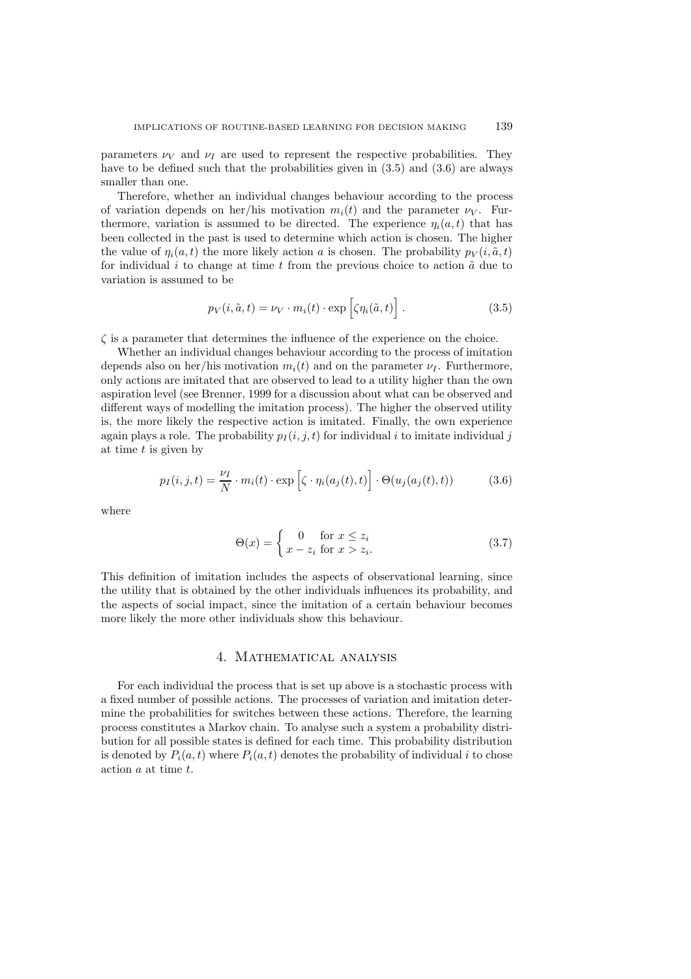parameters  $\nu_V$  and  $\nu_I$  are used to represent the respective probabilities. They have to be defined such that the probabilities given in  $(3.5)$  and  $(3.6)$  are always smaller than one.

Therefore, whether an individual changes behaviour according to the process of variation depends on her/his motivation  $m_i(t)$  and the parameter  $\nu_V$ . Furthermore, variation is assumed to be directed. The experience  $\eta_i(a, t)$  that has been collected in the past is used to determine which action is chosen. The higher the value of  $\eta_i(a, t)$  the more likely action a is chosen. The probability  $p_V(i, \tilde{a}, t)$ for individual  $i$  to change at time  $t$  from the previous choice to action  $\tilde{a}$  due to variation is assumed to be

$$
p_V(i, \tilde{a}, t) = \nu_V \cdot m_i(t) \cdot \exp\left[\zeta \eta_i(\tilde{a}, t)\right]. \tag{3.5}
$$

 $\zeta$  is a parameter that determines the influence of the experience on the choice.

Whether an individual changes behaviour according to the process of imitation depends also on her/his motivation  $m_i(t)$  and on the parameter  $\nu_I$ . Furthermore, only actions are imitated that are observed to lead to a utility higher than the own aspiration level (see Brenner, 1999 for a discussion about what can be observed and different ways of modelling the imitation process). The higher the observed utility is, the more likely the respective action is imitated. Finally, the own experience again plays a role. The probability  $p_I(i, j, t)$  for individual i to imitate individual j at time  $t$  is given by

$$
p_I(i,j,t) = \frac{\nu_I}{N} \cdot m_i(t) \cdot \exp\left[\zeta \cdot \eta_i(a_j(t),t)\right] \cdot \Theta(u_j(a_j(t),t)) \tag{3.6}
$$

where

$$
\Theta(x) = \begin{cases} 0 & \text{for } x \le z_i \\ x - z_i & \text{for } x > z_i. \end{cases} \tag{3.7}
$$

This definition of imitation includes the aspects of observational learning, since the utility that is obtained by the other individuals influences its probability, and the aspects of social impact, since the imitation of a certain behaviour becomes more likely the more other individuals show this behaviour.

### 4. Mathematical analysis

For each individual the process that is set up above is a stochastic process with a fixed number of possible actions. The processes of variation and imitation determine the probabilities for switches between these actions. Therefore, the learning process constitutes a Markov chain. To analyse such a system a probability distribution for all possible states is defined for each time. This probability distribution is denoted by  $P_i(a, t)$  where  $P_i(a, t)$  denotes the probability of individual i to chose action a at time t.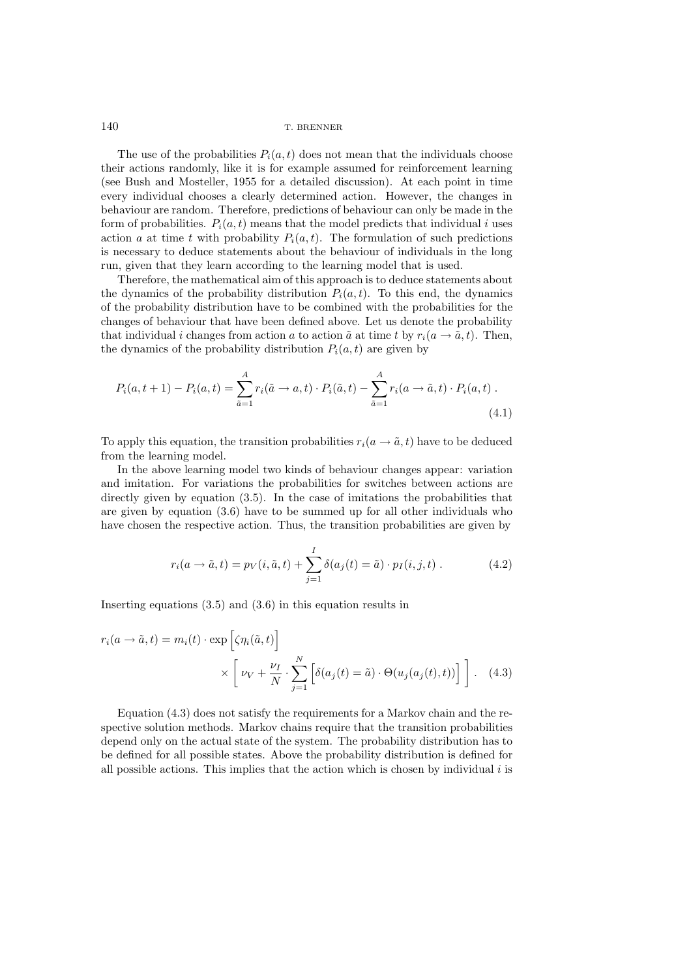The use of the probabilities  $P_i(a, t)$  does not mean that the individuals choose their actions randomly, like it is for example assumed for reinforcement learning (see Bush and Mosteller, 1955 for a detailed discussion). At each point in time every individual chooses a clearly determined action. However, the changes in behaviour are random. Therefore, predictions of behaviour can only be made in the form of probabilities.  $P_i(a, t)$  means that the model predicts that individual i uses action a at time t with probability  $P_i(a, t)$ . The formulation of such predictions is necessary to deduce statements about the behaviour of individuals in the long run, given that they learn according to the learning model that is used.

Therefore, the mathematical aim of this approach is to deduce statements about the dynamics of the probability distribution  $P_i(a, t)$ . To this end, the dynamics of the probability distribution have to be combined with the probabilities for the changes of behaviour that have been defined above. Let us denote the probability that individual i changes from action a to action  $\tilde{a}$  at time t by  $r_i(a \rightarrow \tilde{a}, t)$ . Then, the dynamics of the probability distribution  $P_i(a, t)$  are given by

$$
P_i(a, t+1) - P_i(a, t) = \sum_{\tilde{a}=1}^{A} r_i(\tilde{a} \to a, t) \cdot P_i(\tilde{a}, t) - \sum_{\tilde{a}=1}^{A} r_i(a \to \tilde{a}, t) \cdot P_i(a, t)
$$
\n(4.1)

To apply this equation, the transition probabilities  $r_i(a \rightarrow \tilde{a}, t)$  have to be deduced from the learning model.

In the above learning model two kinds of behaviour changes appear: variation and imitation. For variations the probabilities for switches between actions are directly given by equation (3.5). In the case of imitations the probabilities that are given by equation (3.6) have to be summed up for all other individuals who have chosen the respective action. Thus, the transition probabilities are given by

$$
r_i(a \to \tilde{a}, t) = p_V(i, \tilde{a}, t) + \sum_{j=1}^{I} \delta(a_j(t) = \tilde{a}) \cdot p_I(i, j, t) . \tag{4.2}
$$

Inserting equations (3.5) and (3.6) in this equation results in

$$
r_i(a \to \tilde{a}, t) = m_i(t) \cdot \exp\left[\zeta \eta_i(\tilde{a}, t)\right]
$$

$$
\times \left[\nu_V + \frac{\nu_I}{N} \cdot \sum_{j=1}^N \left[\delta(a_j(t) = \tilde{a}) \cdot \Theta(u_j(a_j(t), t))\right]\right]. \quad (4.3)
$$

Equation (4.3) does not satisfy the requirements for a Markov chain and the respective solution methods. Markov chains require that the transition probabilities depend only on the actual state of the system. The probability distribution has to be defined for all possible states. Above the probability distribution is defined for all possible actions. This implies that the action which is chosen by individual  $i$  is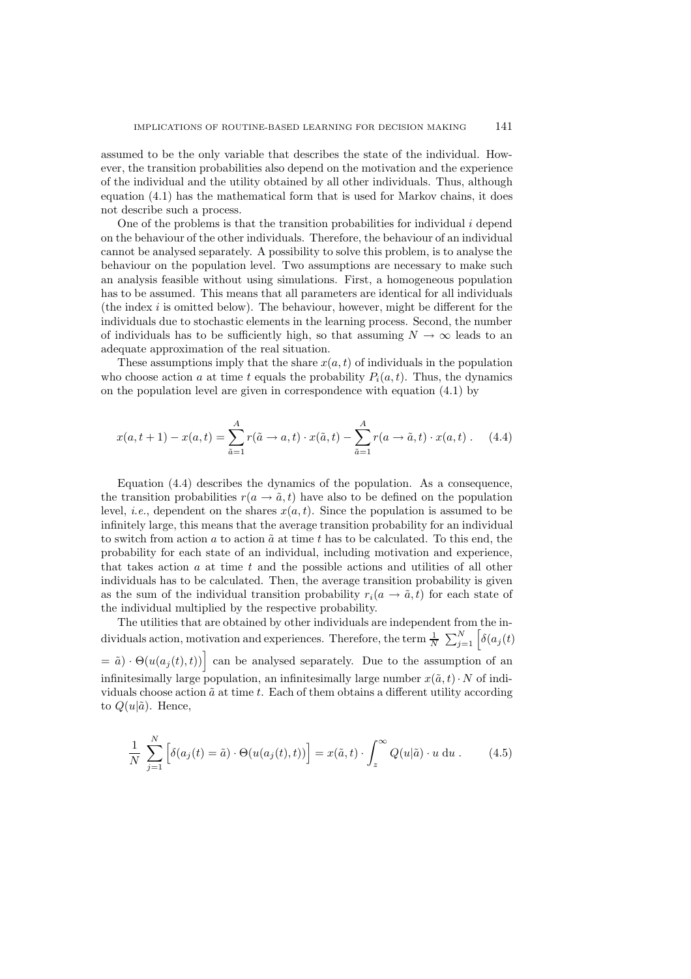assumed to be the only variable that describes the state of the individual. However, the transition probabilities also depend on the motivation and the experience of the individual and the utility obtained by all other individuals. Thus, although equation (4.1) has the mathematical form that is used for Markov chains, it does not describe such a process.

One of the problems is that the transition probabilities for individual i depend on the behaviour of the other individuals. Therefore, the behaviour of an individual cannot be analysed separately. A possibility to solve this problem, is to analyse the behaviour on the population level. Two assumptions are necessary to make such an analysis feasible without using simulations. First, a homogeneous population has to be assumed. This means that all parameters are identical for all individuals (the index  $i$  is omitted below). The behaviour, however, might be different for the individuals due to stochastic elements in the learning process. Second, the number of individuals has to be sufficiently high, so that assuming  $N \to \infty$  leads to an adequate approximation of the real situation.

These assumptions imply that the share  $x(a, t)$  of individuals in the population who choose action a at time t equals the probability  $P_i(a, t)$ . Thus, the dynamics on the population level are given in correspondence with equation (4.1) by

$$
x(a, t + 1) - x(a, t) = \sum_{\tilde{a}=1}^{A} r(\tilde{a} \to a, t) \cdot x(\tilde{a}, t) - \sum_{\tilde{a}=1}^{A} r(a \to \tilde{a}, t) \cdot x(a, t).
$$
 (4.4)

Equation (4.4) describes the dynamics of the population. As a consequence, the transition probabilities  $r(a \rightarrow \tilde{a}, t)$  have also to be defined on the population level, *i.e.*, dependent on the shares  $x(a, t)$ . Since the population is assumed to be infinitely large, this means that the average transition probability for an individual to switch from action  $\tilde{a}$  at time t has to be calculated. To this end, the probability for each state of an individual, including motivation and experience, that takes action  $a$  at time  $t$  and the possible actions and utilities of all other individuals has to be calculated. Then, the average transition probability is given as the sum of the individual transition probability  $r_i(a \rightarrow \tilde{a}, t)$  for each state of the individual multiplied by the respective probability.

The utilities that are obtained by other individuals are independent from the individuals action, motivation and experiences. Therefore, the term  $\frac{1}{N} \sum_{j=1}^{N} \left[ \delta(a_j(t)) \right]$ 

 $= \tilde{a} \cdot \Theta(u(a_j(t), t))$  can be analysed separately. Due to the assumption of an infinitesimally large population, an infinitesimally large number  $x(\tilde{a}, t) \cdot N$  of individuals choose action  $\tilde{a}$  at time t. Each of them obtains a different utility according to  $Q(u|\tilde{a})$ . Hence,

$$
\frac{1}{N} \sum_{j=1}^{N} \left[ \delta(a_j(t) = \tilde{a}) \cdot \Theta(u(a_j(t), t)) \right] = x(\tilde{a}, t) \cdot \int_{z}^{\infty} Q(u|\tilde{a}) \cdot u \, \mathrm{d}u \,. \tag{4.5}
$$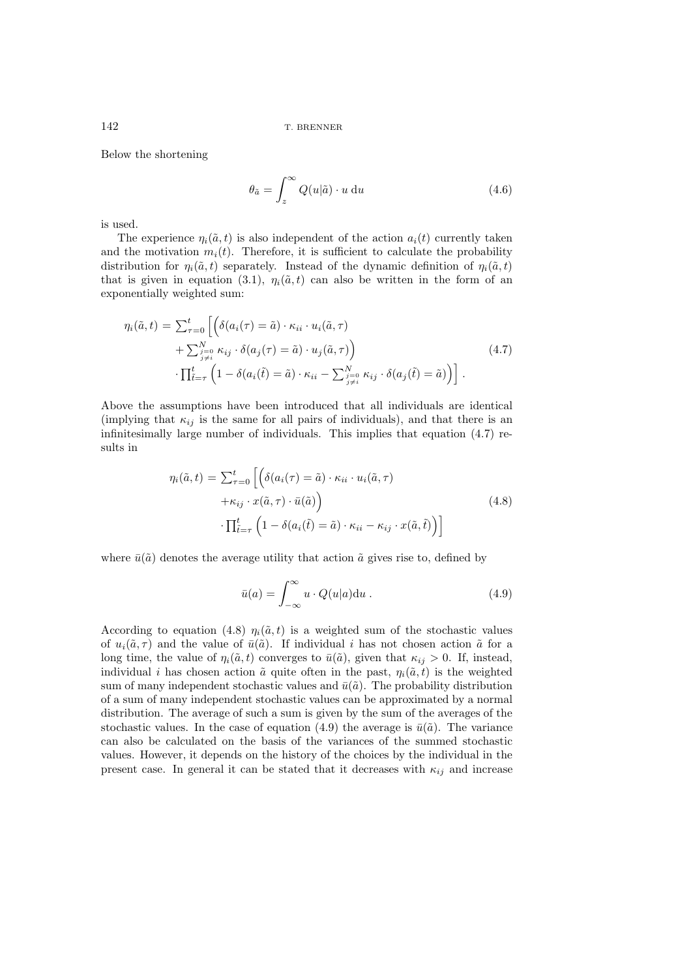Below the shortening

 $\mathcal{L}$ 

$$
\theta_{\tilde{a}} = \int_{z}^{\infty} Q(u|\tilde{a}) \cdot u \, \mathrm{d}u \tag{4.6}
$$

is used.

The experience  $\eta_i(\tilde{a}, t)$  is also independent of the action  $a_i(t)$  currently taken and the motivation  $m_i(t)$ . Therefore, it is sufficient to calculate the probability distribution for  $\eta_i(\tilde{a}, t)$  separately. Instead of the dynamic definition of  $\eta_i(\tilde{a}, t)$ that is given in equation (3.1),  $\eta_i(\tilde{a}, t)$  can also be written in the form of an exponentially weighted sum:

$$
\eta_i(\tilde{a}, t) = \sum_{\tau=0}^t \left[ \left( \delta(a_i(\tau) = \tilde{a}) \cdot \kappa_{ii} \cdot u_i(\tilde{a}, \tau) + \sum_{\substack{j=0 \ j \neq i}}^{N} \kappa_{ij} \cdot \delta(a_j(\tau) = \tilde{a}) \cdot u_j(\tilde{a}, \tau) \right) \cdot \prod_{\tilde{t} = \tau}^t \left( 1 - \delta(a_i(\tilde{t}) = \tilde{a}) \cdot \kappa_{ii} - \sum_{\substack{j=0 \ j \neq i}}^{N} \kappa_{ij} \cdot \delta(a_j(\tilde{t}) = \tilde{a}) \right) \right].
$$
\n(4.7)

Above the assumptions have been introduced that all individuals are identical (implying that  $\kappa_{ij}$  is the same for all pairs of individuals), and that there is an infinitesimally large number of individuals. This implies that equation (4.7) results in

$$
\eta_i(\tilde{a}, t) = \sum_{\tau=0}^t \left[ \left( \delta(a_i(\tau) = \tilde{a}) \cdot \kappa_{ii} \cdot u_i(\tilde{a}, \tau) + \kappa_{ij} \cdot x(\tilde{a}, \tau) \cdot \bar{u}(\tilde{a}) \right) \right]
$$
\n
$$
\cdot \prod_{\tilde{t} = \tau}^t \left( 1 - \delta(a_i(\tilde{t}) = \tilde{a}) \cdot \kappa_{ii} - \kappa_{ij} \cdot x(\tilde{a}, \tilde{t}) \right) \right]
$$
\n(4.8)

where  $\bar{u}(\tilde{a})$  denotes the average utility that action  $\tilde{a}$  gives rise to, defined by

$$
\bar{u}(a) = \int_{-\infty}^{\infty} u \cdot Q(u|a) \mathrm{d}u . \tag{4.9}
$$

According to equation (4.8)  $\eta_i(\tilde{a}, t)$  is a weighted sum of the stochastic values of  $u_i(\tilde{a}, \tau)$  and the value of  $\bar{u}(\tilde{a})$ . If individual i has not chosen action  $\tilde{a}$  for a long time, the value of  $\eta_i(\tilde{a}, t)$  converges to  $\bar{u}(\tilde{a})$ , given that  $\kappa_{ij} > 0$ . If, instead, individual i has chosen action  $\tilde{a}$  quite often in the past,  $\eta_i(\tilde{a}, t)$  is the weighted sum of many independent stochastic values and  $\bar{u}(\tilde{a})$ . The probability distribution of a sum of many independent stochastic values can be approximated by a normal distribution. The average of such a sum is given by the sum of the averages of the stochastic values. In the case of equation (4.9) the average is  $\bar{u}(\tilde{a})$ . The variance can also be calculated on the basis of the variances of the summed stochastic values. However, it depends on the history of the choices by the individual in the present case. In general it can be stated that it decreases with  $\kappa_{ij}$  and increase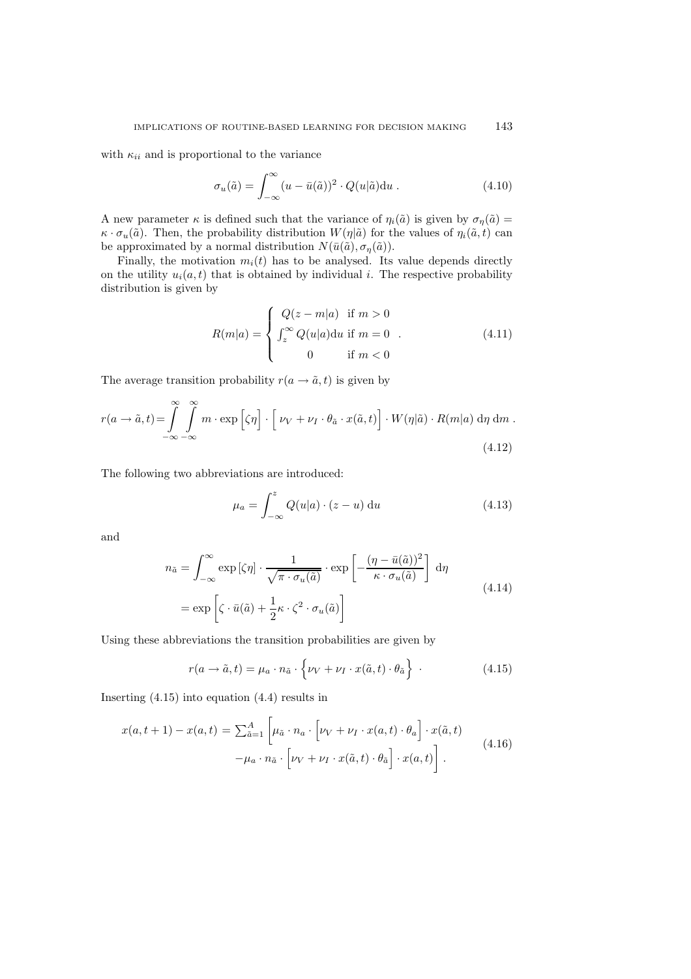with  $\kappa_{ii}$  and is proportional to the variance

$$
\sigma_u(\tilde{a}) = \int_{-\infty}^{\infty} (u - \bar{u}(\tilde{a}))^2 \cdot Q(u|\tilde{a}) \mathrm{d}u \,. \tag{4.10}
$$

A new parameter  $\kappa$  is defined such that the variance of  $\eta_i(\tilde{a})$  is given by  $\sigma_{\eta}(\tilde{a}) =$  $\kappa \cdot \sigma_u(\tilde{a})$ . Then, the probability distribution  $W(\eta|\tilde{a})$  for the values of  $\eta_i(\tilde{a}, t)$  can be approximated by a normal distribution  $N(\bar{u}(\tilde{a}), \sigma_{\eta}(\tilde{a}))$ .

Finally, the motivation  $m_i(t)$  has to be analysed. Its value depends directly on the utility  $u_i(a, t)$  that is obtained by individual i. The respective probability distribution is given by

$$
R(m|a) = \begin{cases} Q(z - m|a) & \text{if } m > 0 \\ \int_z^{\infty} Q(u|a) \, \text{d}u & \text{if } m = 0 \\ 0 & \text{if } m < 0 \end{cases}
$$
 (4.11)

The average transition probability  $r(a \rightarrow \tilde{a}, t)$  is given by

$$
r(a \to \tilde{a}, t) = \int_{-\infty}^{\infty} \int_{-\infty}^{\infty} m \cdot \exp\left[\zeta \eta\right] \cdot \left[\nu_V + \nu_I \cdot \theta_{\tilde{a}} \cdot x(\tilde{a}, t)\right] \cdot W(\eta|\tilde{a}) \cdot R(m|a) d\eta d\mathfrak{m}.
$$
\n(4.12)

The following two abbreviations are introduced:

$$
\mu_a = \int_{-\infty}^{z} Q(u|a) \cdot (z - u) \, \mathrm{d}u \tag{4.13}
$$

and

$$
n_{\tilde{a}} = \int_{-\infty}^{\infty} \exp\left[\zeta \eta\right] \cdot \frac{1}{\sqrt{\pi \cdot \sigma_u(\tilde{a})}} \cdot \exp\left[-\frac{(\eta - \bar{u}(\tilde{a}))^2}{\kappa \cdot \sigma_u(\tilde{a})}\right] d\eta
$$
  
= 
$$
\exp\left[\zeta \cdot \bar{u}(\tilde{a}) + \frac{1}{2}\kappa \cdot \zeta^2 \cdot \sigma_u(\tilde{a})\right]
$$
(4.14)

Using these abbreviations the transition probabilities are given by

$$
r(a \to \tilde{a}, t) = \mu_a \cdot n_{\tilde{a}} \cdot \left\{ \nu_V + \nu_I \cdot x(\tilde{a}, t) \cdot \theta_{\tilde{a}} \right\} \tag{4.15}
$$

Inserting (4.15) into equation (4.4) results in

$$
x(a, t+1) - x(a, t) = \sum_{\tilde{a}=1}^{A} \left[ \mu_{\tilde{a}} \cdot n_a \cdot \left[ \nu_V + \nu_I \cdot x(a, t) \cdot \theta_a \right] \cdot x(\tilde{a}, t) - \mu_a \cdot n_{\tilde{a}} \cdot \left[ \nu_V + \nu_I \cdot x(\tilde{a}, t) \cdot \theta_{\tilde{a}} \right] \cdot x(a, t) \right].
$$
\n(4.16)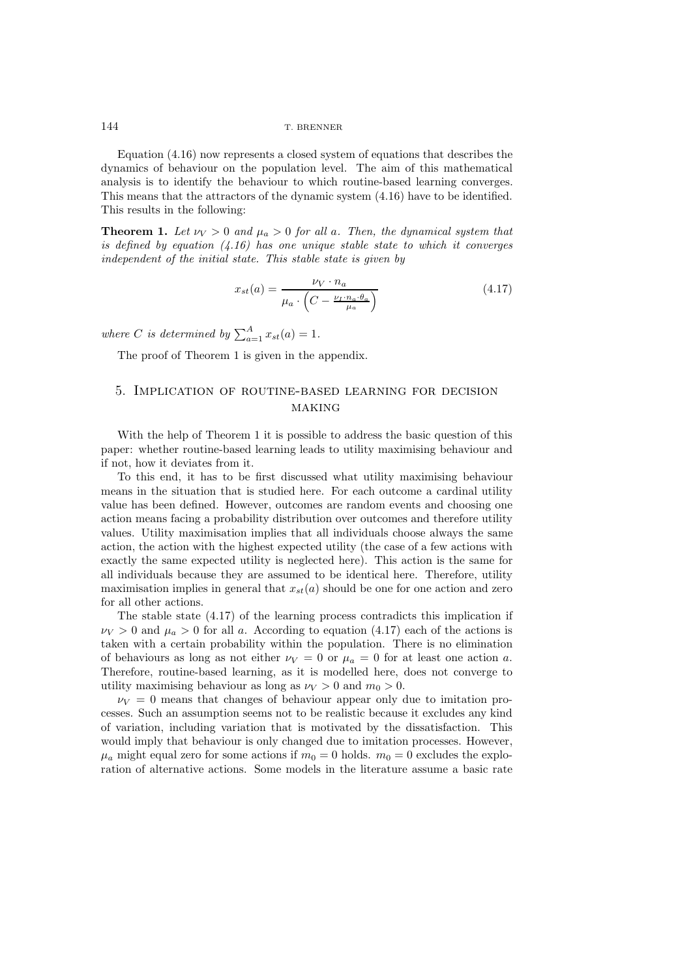Equation (4.16) now represents a closed system of equations that describes the dynamics of behaviour on the population level. The aim of this mathematical analysis is to identify the behaviour to which routine-based learning converges. This means that the attractors of the dynamic system (4.16) have to be identified. This results in the following:

**Theorem 1.** Let  $\nu_V > 0$  and  $\mu_a > 0$  for all a. Then, the dynamical system that *is defined by equation (4.16) has one unique stable state to which it converges independent of the initial state. This stable state is given by*

$$
x_{st}(a) = \frac{\nu_V \cdot n_a}{\mu_a \cdot \left(C - \frac{\nu_I \cdot n_a \cdot \theta_a}{\mu_a}\right)}
$$
(4.17)

where *C* is determined by  $\sum_{a=1}^{A} x_{st}(a) = 1$ .

The proof of Theorem 1 is given in the appendix.

## 5. Implication of routine-based learning for decision **MAKING**

With the help of Theorem 1 it is possible to address the basic question of this paper: whether routine-based learning leads to utility maximising behaviour and if not, how it deviates from it.

To this end, it has to be first discussed what utility maximising behaviour means in the situation that is studied here. For each outcome a cardinal utility value has been defined. However, outcomes are random events and choosing one action means facing a probability distribution over outcomes and therefore utility values. Utility maximisation implies that all individuals choose always the same action, the action with the highest expected utility (the case of a few actions with exactly the same expected utility is neglected here). This action is the same for all individuals because they are assumed to be identical here. Therefore, utility maximisation implies in general that  $x_{st}(a)$  should be one for one action and zero for all other actions.

The stable state (4.17) of the learning process contradicts this implication if  $\nu_V > 0$  and  $\mu_a > 0$  for all a. According to equation (4.17) each of the actions is taken with a certain probability within the population. There is no elimination of behaviours as long as not either  $\nu_V = 0$  or  $\mu_a = 0$  for at least one action a. Therefore, routine-based learning, as it is modelled here, does not converge to utility maximising behaviour as long as  $\nu_V > 0$  and  $m_0 > 0$ .

 $\nu_V = 0$  means that changes of behaviour appear only due to imitation processes. Such an assumption seems not to be realistic because it excludes any kind of variation, including variation that is motivated by the dissatisfaction. This would imply that behaviour is only changed due to imitation processes. However,  $\mu_a$  might equal zero for some actions if  $m_0 = 0$  holds.  $m_0 = 0$  excludes the exploration of alternative actions. Some models in the literature assume a basic rate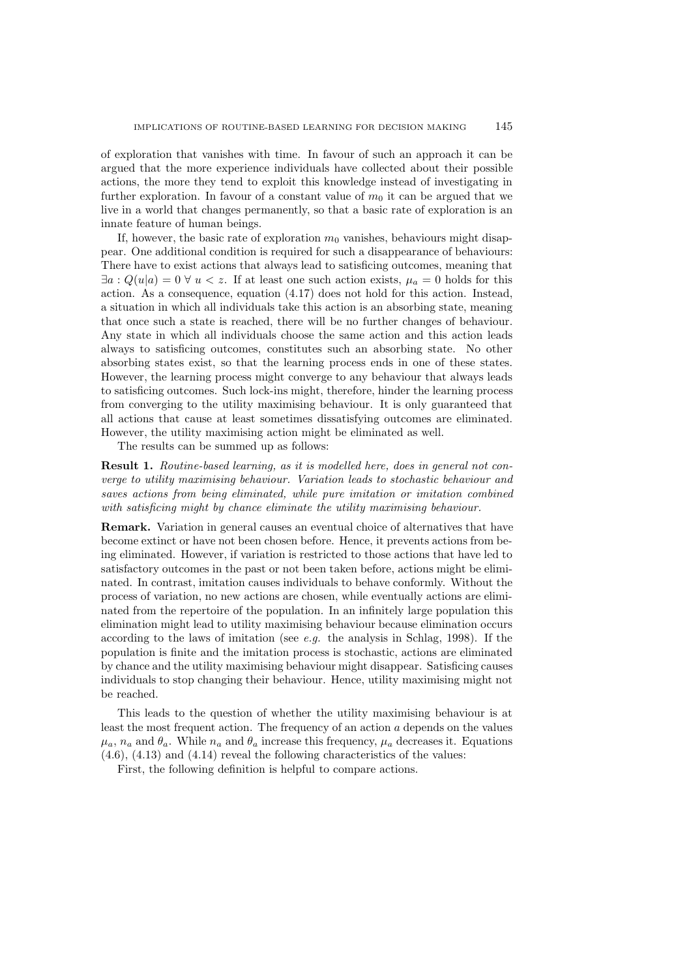of exploration that vanishes with time. In favour of such an approach it can be argued that the more experience individuals have collected about their possible actions, the more they tend to exploit this knowledge instead of investigating in further exploration. In favour of a constant value of  $m_0$  it can be argued that we live in a world that changes permanently, so that a basic rate of exploration is an innate feature of human beings.

If, however, the basic rate of exploration  $m_0$  vanishes, behaviours might disappear. One additional condition is required for such a disappearance of behaviours: There have to exist actions that always lead to satisficing outcomes, meaning that  $\exists a: Q(u|a)=0 \ \forall u \lt z$ . If at least one such action exists,  $\mu_a=0$  holds for this action. As a consequence, equation (4.17) does not hold for this action. Instead, a situation in which all individuals take this action is an absorbing state, meaning that once such a state is reached, there will be no further changes of behaviour. Any state in which all individuals choose the same action and this action leads always to satisficing outcomes, constitutes such an absorbing state. No other absorbing states exist, so that the learning process ends in one of these states. However, the learning process might converge to any behaviour that always leads to satisficing outcomes. Such lock-ins might, therefore, hinder the learning process from converging to the utility maximising behaviour. It is only guaranteed that all actions that cause at least sometimes dissatisfying outcomes are eliminated. However, the utility maximising action might be eliminated as well.

The results can be summed up as follows:

**Result 1.** *Routine-based learning, as it is modelled here, does in general not converge to utility maximising behaviour. Variation leads to stochastic behaviour and saves actions from being eliminated, while pure imitation or imitation combined with satisficing might by chance eliminate the utility maximising behaviour.*

**Remark.** Variation in general causes an eventual choice of alternatives that have become extinct or have not been chosen before. Hence, it prevents actions from being eliminated. However, if variation is restricted to those actions that have led to satisfactory outcomes in the past or not been taken before, actions might be eliminated. In contrast, imitation causes individuals to behave conformly. Without the process of variation, no new actions are chosen, while eventually actions are eliminated from the repertoire of the population. In an infinitely large population this elimination might lead to utility maximising behaviour because elimination occurs according to the laws of imitation (see *e.g.* the analysis in Schlag, 1998). If the population is finite and the imitation process is stochastic, actions are eliminated by chance and the utility maximising behaviour might disappear. Satisficing causes individuals to stop changing their behaviour. Hence, utility maximising might not be reached.

This leads to the question of whether the utility maximising behaviour is at least the most frequent action. The frequency of an action  $a$  depends on the values  $\mu_a$ ,  $n_a$  and  $\theta_a$ . While  $n_a$  and  $\theta_a$  increase this frequency,  $\mu_a$  decreases it. Equations (4.6), (4.13) and (4.14) reveal the following characteristics of the values:

First, the following definition is helpful to compare actions.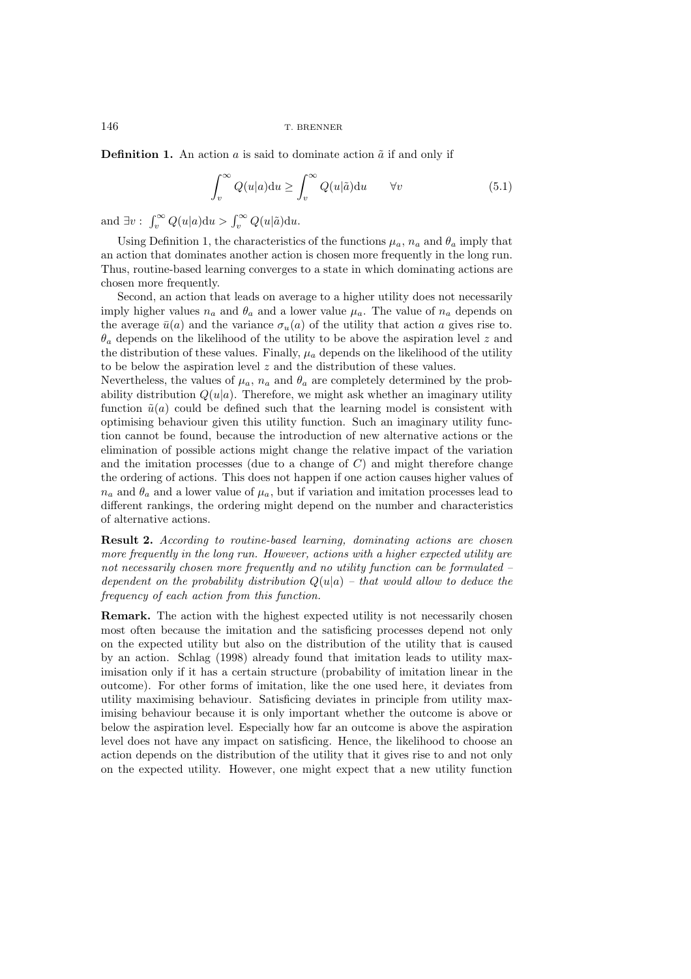**Definition 1.** An action  $\alpha$  is said to dominate action  $\tilde{\alpha}$  if and only if

$$
\int_{v}^{\infty} Q(u|a) \mathrm{d}u \ge \int_{v}^{\infty} Q(u|\tilde{a}) \mathrm{d}u \qquad \forall v \tag{5.1}
$$

and  $\exists v : \int_v^{\infty} Q(u|a)du > \int_v^{\infty} Q(u|\tilde{a})du$ .

Using Definition 1, the characteristics of the functions  $\mu_a$ ,  $n_a$  and  $\theta_a$  imply that an action that dominates another action is chosen more frequently in the long run. Thus, routine-based learning converges to a state in which dominating actions are chosen more frequently.

Second, an action that leads on average to a higher utility does not necessarily imply higher values  $n_a$  and  $\theta_a$  and a lower value  $\mu_a$ . The value of  $n_a$  depends on the average  $\bar{u}(a)$  and the variance  $\sigma_u(a)$  of the utility that action a gives rise to.  $\theta_a$  depends on the likelihood of the utility to be above the aspiration level z and the distribution of these values. Finally,  $\mu_a$  depends on the likelihood of the utility to be below the aspiration level  $z$  and the distribution of these values.

Nevertheless, the values of  $\mu_a$ ,  $n_a$  and  $\theta_a$  are completely determined by the probability distribution  $Q(u|a)$ . Therefore, we might ask whether an imaginary utility function  $\tilde{u}(a)$  could be defined such that the learning model is consistent with optimising behaviour given this utility function. Such an imaginary utility function cannot be found, because the introduction of new alternative actions or the elimination of possible actions might change the relative impact of the variation and the imitation processes (due to a change of  $C$ ) and might therefore change the ordering of actions. This does not happen if one action causes higher values of  $n_a$  and  $\theta_a$  and a lower value of  $\mu_a$ , but if variation and imitation processes lead to different rankings, the ordering might depend on the number and characteristics of alternative actions.

**Result 2.** *According to routine-based learning, dominating actions are chosen more frequently in the long run. However, actions with a higher expected utility are not necessarily chosen more frequently and no utility function can be formulated – dependent on the probability distribution* Q(u|a) *– that would allow to deduce the frequency of each action from this function.*

**Remark.** The action with the highest expected utility is not necessarily chosen most often because the imitation and the satisficing processes depend not only on the expected utility but also on the distribution of the utility that is caused by an action. Schlag (1998) already found that imitation leads to utility maximisation only if it has a certain structure (probability of imitation linear in the outcome). For other forms of imitation, like the one used here, it deviates from utility maximising behaviour. Satisficing deviates in principle from utility maximising behaviour because it is only important whether the outcome is above or below the aspiration level. Especially how far an outcome is above the aspiration level does not have any impact on satisficing. Hence, the likelihood to choose an action depends on the distribution of the utility that it gives rise to and not only on the expected utility. However, one might expect that a new utility function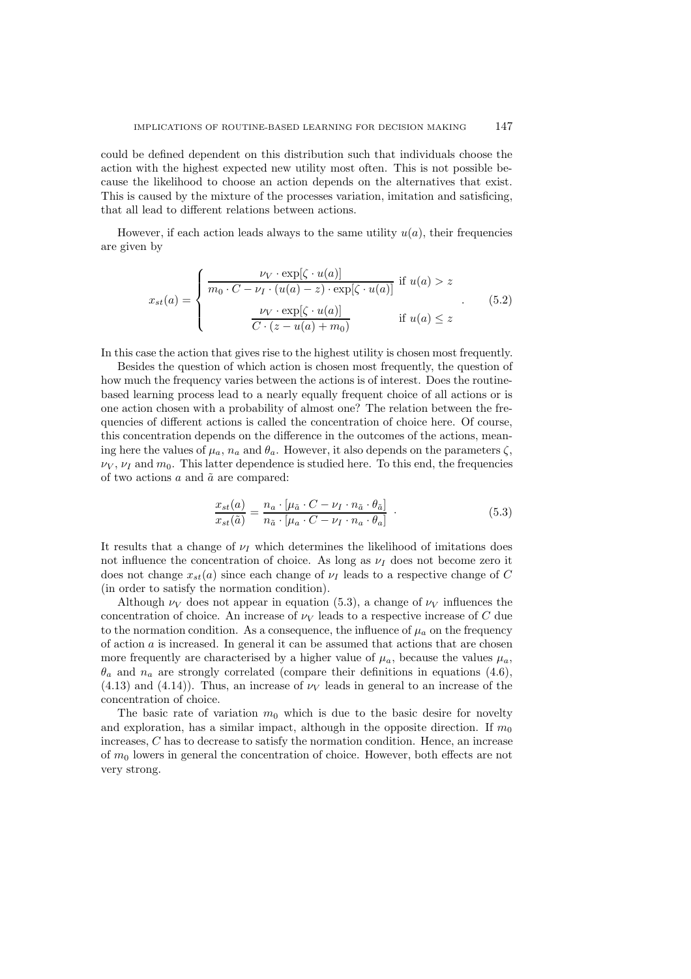could be defined dependent on this distribution such that individuals choose the action with the highest expected new utility most often. This is not possible because the likelihood to choose an action depends on the alternatives that exist. This is caused by the mixture of the processes variation, imitation and satisficing, that all lead to different relations between actions.

However, if each action leads always to the same utility  $u(a)$ , their frequencies are given by

$$
x_{st}(a) = \begin{cases} \frac{\nu_V \cdot \exp[\zeta \cdot u(a)]}{m_0 \cdot C - \nu_I \cdot (u(a) - z) \cdot \exp[\zeta \cdot u(a)]} & \text{if } u(a) > z \\ \frac{\nu_V \cdot \exp[\zeta \cdot u(a)]}{C \cdot (z - u(a) + m_0)} & \text{if } u(a) \le z \end{cases}
$$
(5.2)

In this case the action that gives rise to the highest utility is chosen most frequently.

Besides the question of which action is chosen most frequently, the question of how much the frequency varies between the actions is of interest. Does the routinebased learning process lead to a nearly equally frequent choice of all actions or is one action chosen with a probability of almost one? The relation between the frequencies of different actions is called the concentration of choice here. Of course, this concentration depends on the difference in the outcomes of the actions, meaning here the values of  $\mu_a$ ,  $n_a$  and  $\theta_a$ . However, it also depends on the parameters  $\zeta$ ,  $\nu_V, \nu_I$  and  $m_0$ . This latter dependence is studied here. To this end, the frequencies of two actions  $a$  and  $\tilde{a}$  are compared:

$$
\frac{x_{st}(a)}{x_{st}(\tilde{a})} = \frac{n_a \cdot [\mu_{\tilde{a}} \cdot C - \nu_I \cdot n_{\tilde{a}} \cdot \theta_{\tilde{a}}]}{n_{\tilde{a}} \cdot [\mu_a \cdot C - \nu_I \cdot n_a \cdot \theta_{\tilde{a}}]} \tag{5.3}
$$

It results that a change of  $\nu_I$  which determines the likelihood of imitations does not influence the concentration of choice. As long as  $\nu_I$  does not become zero it does not change  $x_{st}(a)$  since each change of  $\nu_I$  leads to a respective change of C (in order to satisfy the normation condition).

Although  $\nu_V$  does not appear in equation (5.3), a change of  $\nu_V$  influences the concentration of choice. An increase of  $\nu_V$  leads to a respective increase of C due to the normation condition. As a consequence, the influence of  $\mu_a$  on the frequency of action  $a$  is increased. In general it can be assumed that actions that are chosen more frequently are characterised by a higher value of  $\mu_a$ , because the values  $\mu_a$ ,  $\theta_a$  and  $n_a$  are strongly correlated (compare their definitions in equations (4.6),  $(4.13)$  and  $(4.14)$ ). Thus, an increase of  $\nu<sub>V</sub>$  leads in general to an increase of the concentration of choice.

The basic rate of variation  $m_0$  which is due to the basic desire for novelty and exploration, has a similar impact, although in the opposite direction. If  $m_0$ increases, C has to decrease to satisfy the normation condition. Hence, an increase of  $m_0$  lowers in general the concentration of choice. However, both effects are not very strong.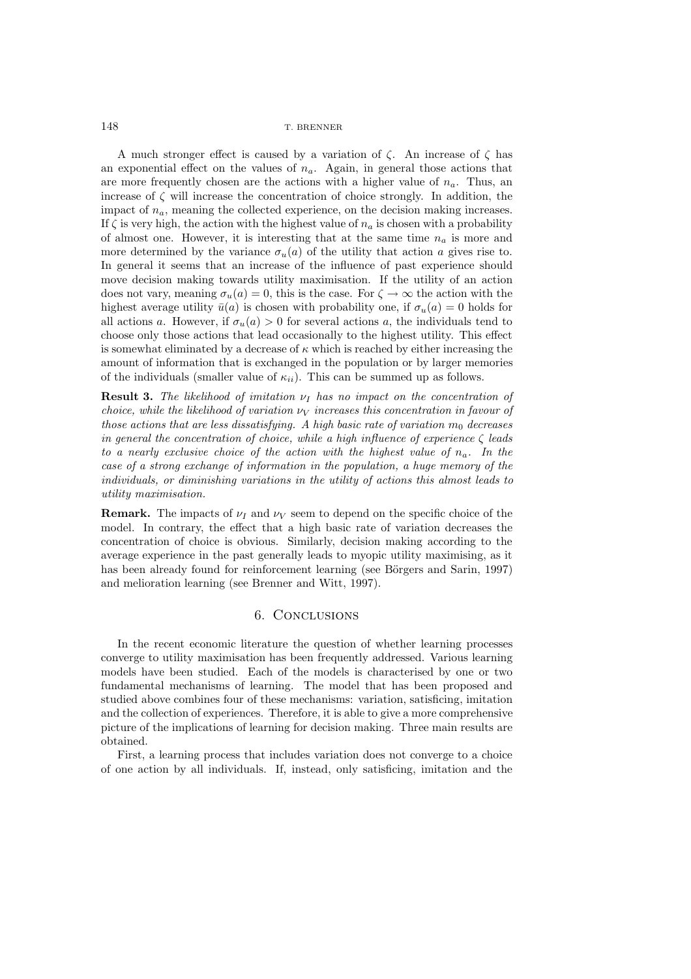A much stronger effect is caused by a variation of  $\zeta$ . An increase of  $\zeta$  has an exponential effect on the values of  $n_a$ . Again, in general those actions that are more frequently chosen are the actions with a higher value of  $n_a$ . Thus, an increase of  $\zeta$  will increase the concentration of choice strongly. In addition, the impact of  $n_a$ , meaning the collected experience, on the decision making increases. If  $\zeta$  is very high, the action with the highest value of  $n_a$  is chosen with a probability of almost one. However, it is interesting that at the same time  $n_a$  is more and more determined by the variance  $\sigma_u(a)$  of the utility that action a gives rise to. In general it seems that an increase of the influence of past experience should move decision making towards utility maximisation. If the utility of an action does not vary, meaning  $\sigma_u(a) = 0$ , this is the case. For  $\zeta \to \infty$  the action with the highest average utility  $\bar{u}(a)$  is chosen with probability one, if  $\sigma_u(a) = 0$  holds for all actions a. However, if  $\sigma_u(a) > 0$  for several actions a, the individuals tend to choose only those actions that lead occasionally to the highest utility. This effect is somewhat eliminated by a decrease of  $\kappa$  which is reached by either increasing the amount of information that is exchanged in the population or by larger memories of the individuals (smaller value of  $\kappa_{ii}$ ). This can be summed up as follows.

**Result 3.** *The likelihood of imitation*  $ν<sub>I</sub>$  *has no impact on the concentration of choice, while the likelihood of variation*  $ν<sub>V</sub>$  *increases this concentration in favour of those actions that are less dissatisfying. A high basic rate of variation*  $m_0$  *decreases in general the concentration of choice, while a high influence of experience* ζ *leads to a nearly exclusive choice of the action with the highest value of*  $n_a$ . In the *case of a strong exchange of information in the population, a huge memory of the individuals, or diminishing variations in the utility of actions this almost leads to utility maximisation.*

**Remark.** The impacts of  $\nu_I$  and  $\nu_V$  seem to depend on the specific choice of the model. In contrary, the effect that a high basic rate of variation decreases the concentration of choice is obvious. Similarly, decision making according to the average experience in the past generally leads to myopic utility maximising, as it has been already found for reinforcement learning (see Börgers and Sarin, 1997) and melioration learning (see Brenner and Witt, 1997).

### 6. Conclusions

In the recent economic literature the question of whether learning processes converge to utility maximisation has been frequently addressed. Various learning models have been studied. Each of the models is characterised by one or two fundamental mechanisms of learning. The model that has been proposed and studied above combines four of these mechanisms: variation, satisficing, imitation and the collection of experiences. Therefore, it is able to give a more comprehensive picture of the implications of learning for decision making. Three main results are obtained.

First, a learning process that includes variation does not converge to a choice of one action by all individuals. If, instead, only satisficing, imitation and the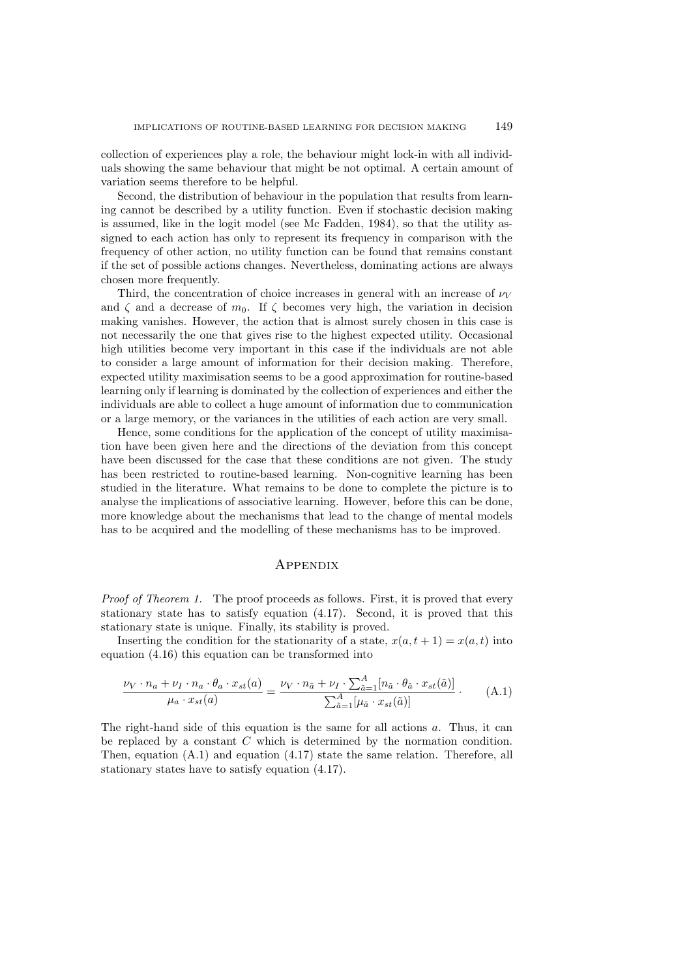collection of experiences play a role, the behaviour might lock-in with all individuals showing the same behaviour that might be not optimal. A certain amount of variation seems therefore to be helpful.

Second, the distribution of behaviour in the population that results from learning cannot be described by a utility function. Even if stochastic decision making is assumed, like in the logit model (see Mc Fadden, 1984), so that the utility assigned to each action has only to represent its frequency in comparison with the frequency of other action, no utility function can be found that remains constant if the set of possible actions changes. Nevertheless, dominating actions are always chosen more frequently.

Third, the concentration of choice increases in general with an increase of  $\nu_V$ and  $\zeta$  and a decrease of  $m_0$ . If  $\zeta$  becomes very high, the variation in decision making vanishes. However, the action that is almost surely chosen in this case is not necessarily the one that gives rise to the highest expected utility. Occasional high utilities become very important in this case if the individuals are not able to consider a large amount of information for their decision making. Therefore, expected utility maximisation seems to be a good approximation for routine-based learning only if learning is dominated by the collection of experiences and either the individuals are able to collect a huge amount of information due to communication or a large memory, or the variances in the utilities of each action are very small.

Hence, some conditions for the application of the concept of utility maximisation have been given here and the directions of the deviation from this concept have been discussed for the case that these conditions are not given. The study has been restricted to routine-based learning. Non-cognitive learning has been studied in the literature. What remains to be done to complete the picture is to analyse the implications of associative learning. However, before this can be done, more knowledge about the mechanisms that lead to the change of mental models has to be acquired and the modelling of these mechanisms has to be improved.

## **APPENDIX**

*Proof of Theorem 1.* The proof proceeds as follows. First, it is proved that every stationary state has to satisfy equation (4.17). Second, it is proved that this stationary state is unique. Finally, its stability is proved.

Inserting the condition for the stationarity of a state,  $x(a, t + 1) = x(a, t)$  into equation (4.16) this equation can be transformed into

$$
\frac{\nu_V \cdot n_a + \nu_I \cdot n_a \cdot \theta_a \cdot x_{st}(a)}{\mu_a \cdot x_{st}(a)} = \frac{\nu_V \cdot n_{\tilde{a}} + \nu_I \cdot \sum_{\tilde{a}=1}^A [n_{\tilde{a}} \cdot \theta_{\tilde{a}} \cdot x_{st}(\tilde{a})]}{\sum_{\tilde{a}=1}^A [\mu_{\tilde{a}} \cdot x_{st}(\tilde{a})]}.
$$
 (A.1)

The right-hand side of this equation is the same for all actions a. Thus, it can be replaced by a constant  $C$  which is determined by the normation condition. Then, equation (A.1) and equation (4.17) state the same relation. Therefore, all stationary states have to satisfy equation (4.17).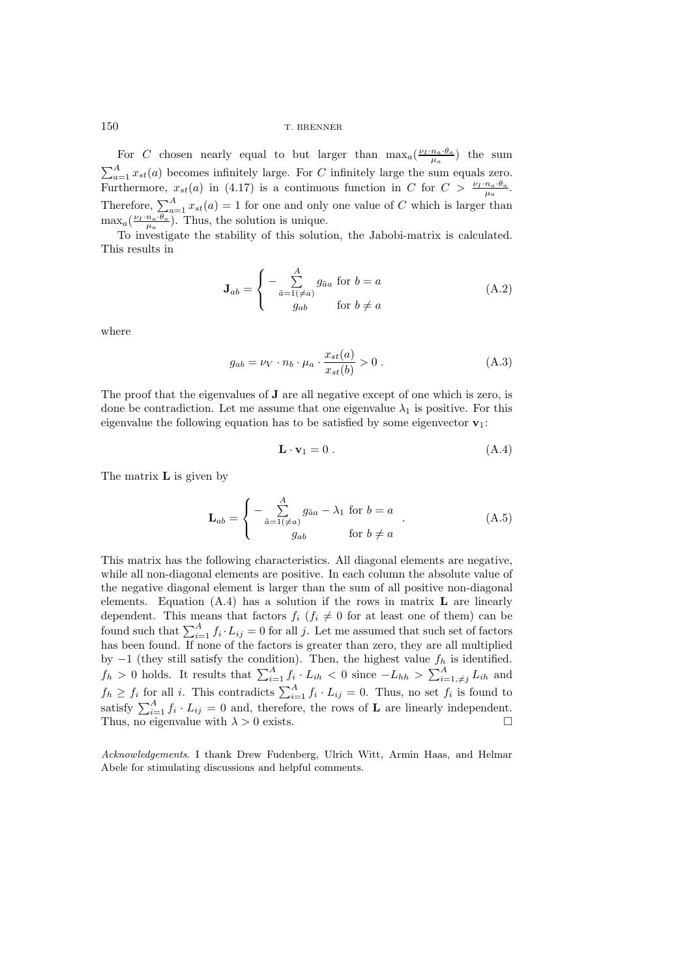For C chosen nearly equal to but larger than  $\max_a(\frac{\nu_I \cdot n_a \cdot \theta_a}{\mu_a})$  the sum  $\sum_{a=1}^{A} x_{st}(a)$  becomes infinitely large. For C infinitely large the sum equals zero. Furthermore,  $x_{st}(a)$  in (4.17) is a continuous function in C for  $C > \frac{\nu_I \cdot n_a \cdot \theta_a}{\mu_a}$ . Therefore,  $\sum_{a=1}^{A} x_{st}(a) = 1$  for one and only one value of C which is larger than  $\max_a(\frac{\nu_I \cdot n_a \cdot \theta_a}{\mu_a})$ . Thus, the solution is unique.

To investigate the stability of this solution, the Jabobi-matrix is calculated. This results in

$$
\mathbf{J}_{ab} = \begin{cases} -\sum_{\tilde{a}=1(\neq a)}^A g_{\tilde{a}a} \text{ for } b = a \\ g_{ab} \qquad \text{for } b \neq a \end{cases}
$$
 (A.2)

where

$$
g_{ab} = \nu_V \cdot n_b \cdot \mu_a \cdot \frac{x_{st}(a)}{x_{st}(b)} > 0.
$$
 (A.3)

The proof that the eigenvalues of **J** are all negative except of one which is zero, is done be contradiction. Let me assume that one eigenvalue  $\lambda_1$  is positive. For this eigenvalue the following equation has to be satisfied by some eigenvector **v**1:

$$
\mathbf{L} \cdot \mathbf{v}_1 = 0 \tag{A.4}
$$

The matrix **L** is given by

$$
\mathbf{L}_{ab} = \begin{cases}\n-\sum_{\tilde{a}=1 (\neq a)}^{A} g_{\tilde{a}a} - \lambda_1 & \text{for } b = a \\
g_{ab} & \text{for } b \neq a\n\end{cases} (A.5)
$$

This matrix has the following characteristics. All diagonal elements are negative, while all non-diagonal elements are positive. In each column the absolute value of the negative diagonal element is larger than the sum of all positive non-diagonal elements. Equation (A.4) has a solution if the rows in matrix **L** are linearly dependent. This means that factors  $f_i$  ( $f_i \neq 0$  for at least one of them) can be found such that  $\sum_{i=1}^{A} f_i \cdot L_{ij} = 0$  for all j. Let me assumed that such set of factors has been found. If none of the factors is greater than zero, they are all multiplied has been found. If none of the factors is greater than zero, they are all multiplied by  $-1$  (they still satisfy the condition). Then, the highest value  $f_h$  is identified.  $f_h > 0$  holds. It results that  $\sum_{i=1}^A f_i \cdot L_{ih} < 0$  since  $-L_{hh} > \sum_{i=1,\neq j}^A L_{ih}$  and  $f_h \ge f_i$  for all i. This contradicts  $\sum_{i=1}^A f_i \cdot L_{ij} = 0$ . Thus, no set  $f_i$  is found to satisfy  $\sum_{i=1}^{A} f_i \cdot L_{ij} = 0$  and, therefore, the rows of **L** are linearly independent.<br>Thus no ejempendent  $\lambda > 0$  evists Thus, no eigenvalue with  $\lambda > 0$  exists.

Acknowledgements. I thank Drew Fudenberg, Ulrich Witt, Armin Haas, and Helmar Abele for stimulating discussions and helpful comments.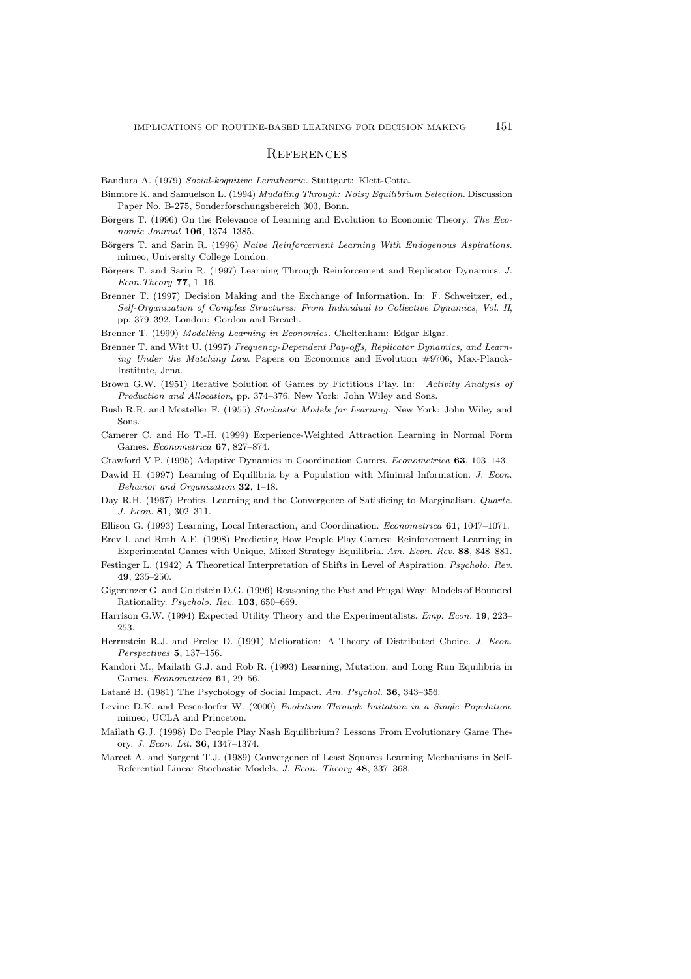#### **REFERENCES**

Bandura A. (1979) Sozial-kognitive Lerntheorie. Stuttgart: Klett-Cotta.

- Binmore K. and Samuelson L. (1994) Muddling Through: Noisy Equilibrium Selection. Discussion Paper No. B-275, Sonderforschungsbereich 303, Bonn.
- Börgers T. (1996) On the Relevance of Learning and Evolution to Economic Theory. The Economic Journal **106**, 1374–1385.
- Börgers T. and Sarin R. (1996) Naive Reinforcement Learning With Endogenous Aspirations. mimeo, University College London.
- Börgers T. and Sarin R. (1997) Learning Through Reinforcement and Replicator Dynamics. J. Econ.Theory **77**, 1–16.
- Brenner T. (1997) Decision Making and the Exchange of Information. In: F. Schweitzer, ed., Self-Organization of Complex Structures: From Individual to Collective Dynamics, Vol. II, pp. 379–392. London: Gordon and Breach.
- Brenner T. (1999) Modelling Learning in Economics. Cheltenham: Edgar Elgar.
- Brenner T. and Witt U. (1997) Frequency-Dependent Pay-offs, Replicator Dynamics, and Learning Under the Matching Law. Papers on Economics and Evolution #9706, Max-Planck-Institute, Jena.
- Brown G.W. (1951) Iterative Solution of Games by Fictitious Play. In: Activity Analysis of Production and Allocation, pp. 374–376. New York: John Wiley and Sons.
- Bush R.R. and Mosteller F. (1955) Stochastic Models for Learning. New York: John Wiley and Sons.
- Camerer C. and Ho T.-H. (1999) Experience-Weighted Attraction Learning in Normal Form Games. Econometrica **67**, 827–874.
- Crawford V.P. (1995) Adaptive Dynamics in Coordination Games. Econometrica **63**, 103–143.
- Dawid H. (1997) Learning of Equilibria by a Population with Minimal Information. J. Econ. Behavior and Organization **32**, 1–18.
- Day R.H. (1967) Profits, Learning and the Convergence of Satisficing to Marginalism. Quarte. J. Econ. **81**, 302–311.
- Ellison G. (1993) Learning, Local Interaction, and Coordination. Econometrica **61**, 1047–1071.
- Erev I. and Roth A.E. (1998) Predicting How People Play Games: Reinforcement Learning in Experimental Games with Unique, Mixed Strategy Equilibria. Am. Econ. Rev. **88**, 848–881.
- Festinger L. (1942) A Theoretical Interpretation of Shifts in Level of Aspiration. Psycholo. Rev. **49**, 235–250.
- Gigerenzer G. and Goldstein D.G. (1996) Reasoning the Fast and Frugal Way: Models of Bounded Rationality. Psycholo. Rev. **103**, 650–669.
- Harrison G.W. (1994) Expected Utility Theory and the Experimentalists. Emp. Econ. **19**, 223– 253.
- Herrnstein R.J. and Prelec D. (1991) Melioration: A Theory of Distributed Choice. J. Econ. Perspectives **5**, 137–156.
- Kandori M., Mailath G.J. and Rob R. (1993) Learning, Mutation, and Long Run Equilibria in Games. Econometrica **61**, 29–56.
- Latan´e B. (1981) The Psychology of Social Impact. Am. Psychol. **36**, 343–356.
- Levine D.K. and Pesendorfer W. (2000) Evolution Through Imitation in a Single Population. mimeo, UCLA and Princeton.
- Mailath G.J. (1998) Do People Play Nash Equilibrium? Lessons From Evolutionary Game Theory. J. Econ. Lit. **36**, 1347–1374.
- Marcet A. and Sargent T.J. (1989) Convergence of Least Squares Learning Mechanisms in Self-Referential Linear Stochastic Models. J. Econ. Theory **48**, 337–368.